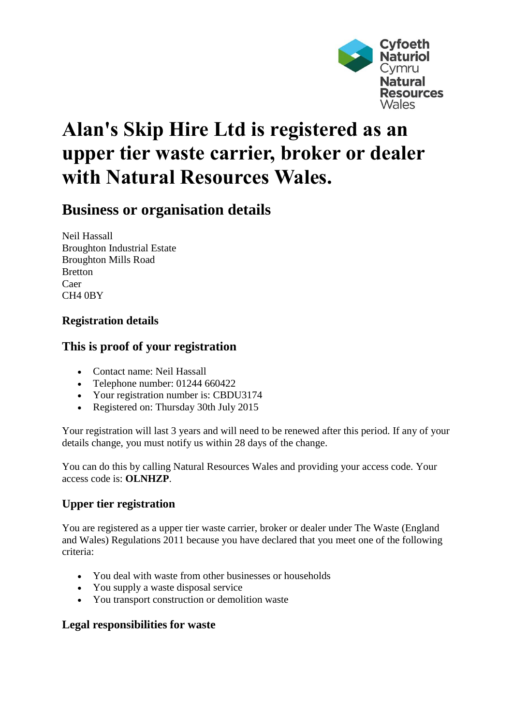

# **Alan's Skip Hire Ltd is registered as an upper tier waste carrier, broker or dealer with Natural Resources Wales.**

# **Business or organisation details**

Neil Hassall Broughton Industrial Estate Broughton Mills Road Bretton Caer CH4 0BY

## **Registration details**

## **This is proof of your registration**

- Contact name: Neil Hassall
- Telephone number: 01244 660422
- Your registration number is: CBDU3174
- Registered on: Thursday 30th July 2015

Your registration will last 3 years and will need to be renewed after this period. If any of your details change, you must notify us within 28 days of the change.

You can do this by calling Natural Resources Wales and providing your access code. Your access code is: **OLNHZP**.

#### **Upper tier registration**

You are registered as a upper tier waste carrier, broker or dealer under The Waste (England and Wales) Regulations 2011 because you have declared that you meet one of the following criteria:

- You deal with waste from other businesses or households
- You supply a waste disposal service
- You transport construction or demolition waste

#### **Legal responsibilities for waste**